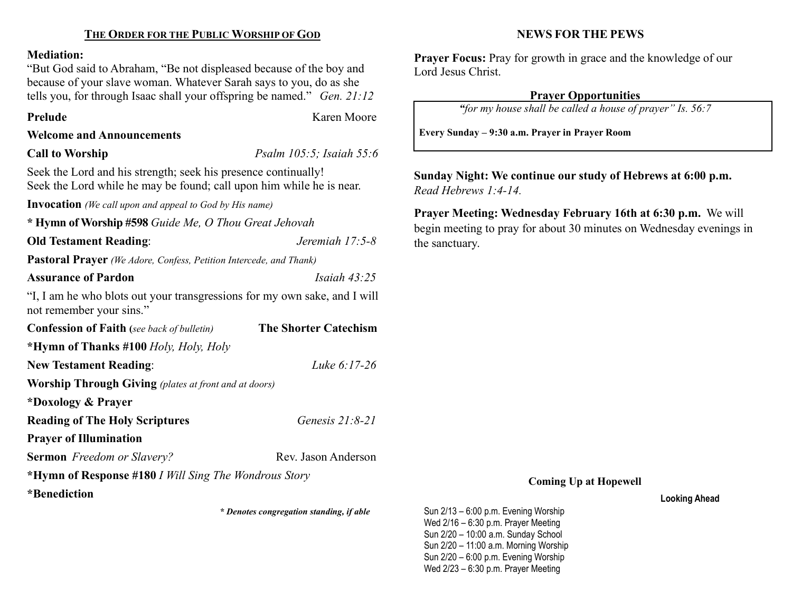# THE ORDER FOR THE PUBLIC WORSHIP OF GOD

#### Mediation:

"But God said to Abraham, "Be not displeased because of the boy and because of your slave woman. Whatever Sarah says to you, do as she tells you, for through Isaac shall your offspring be named." Gen. 21:12

Prelude **Karen Moore** 

### Welcome and Announcements

Call to Worship Psalm 105:5; Isaiah 55:6

Seek the Lord and his strength; seek his presence continually! Seek the Lord while he may be found; call upon him while he is near.

Invocation (We call upon and appeal to God by His name)

\* Hymn of Worship #598 Guide Me, O Thou Great Jehovah Old Testament Reading: Jeremiah 17:5-8 Pastoral Prayer (We Adore, Confess, Petition Intercede, and Thank) Assurance of Pardon **Islamic Islamic Islamic Islamic Islamic Islamic Islamic Islamic Islamic Islamic Islamic Islamic Islamic Islamic Islamic Islamic Islamic Islamic Islamic Islamic Islamic Islamic Islamic Islamic Islamic I** "I, I am he who blots out your transgressions for my own sake, and I will not remember your sins." Confession of Faith (see back of bulletin) The Shorter Catechism \*Hymn of Thanks #100 Holy, Holy, Holy New Testament Reading: Luke 6:17-26 Worship Through Giving (plates at front and at doors) \*Doxology & Prayer Reading of The Holy Scriptures Genesis 21:8-21 Prayer of Illumination Sermon Freedom or Slavery? Rev. Jason Anderson \*Hymn of Response #180 I Will Sing The Wondrous Story \*Benediction

\* Denotes congregation standing, if able

NEWS FOR THE PEWS

Prayer Focus: Pray for growth in grace and the knowledge of our Lord Jesus Christ.

# Prayer Opportunities

"for my house shall be called a house of prayer" Is. 56:7

Every Sunday – 9:30 a.m. Prayer in Prayer Room

Sunday Night: We continue our study of Hebrews at 6:00 p.m. Read Hebrews 1:4-14.

Prayer Meeting: Wednesday February 16th at 6:30 p.m. We will begin meeting to pray for about 30 minutes on Wednesday evenings in the sanctuary.

#### Coming Up at Hopewell

Looking Ahead

Sun 2/13 – 6:00 p.m. Evening Worship Wed 2/16 – 6:30 p.m. Prayer Meeting Sun 2/20 – 10:00 a.m. Sunday School Sun 2/20 – 11:00 a.m. Morning Worship Sun 2/20 – 6:00 p.m. Evening Worship Wed 2/23 – 6:30 p.m. Prayer Meeting